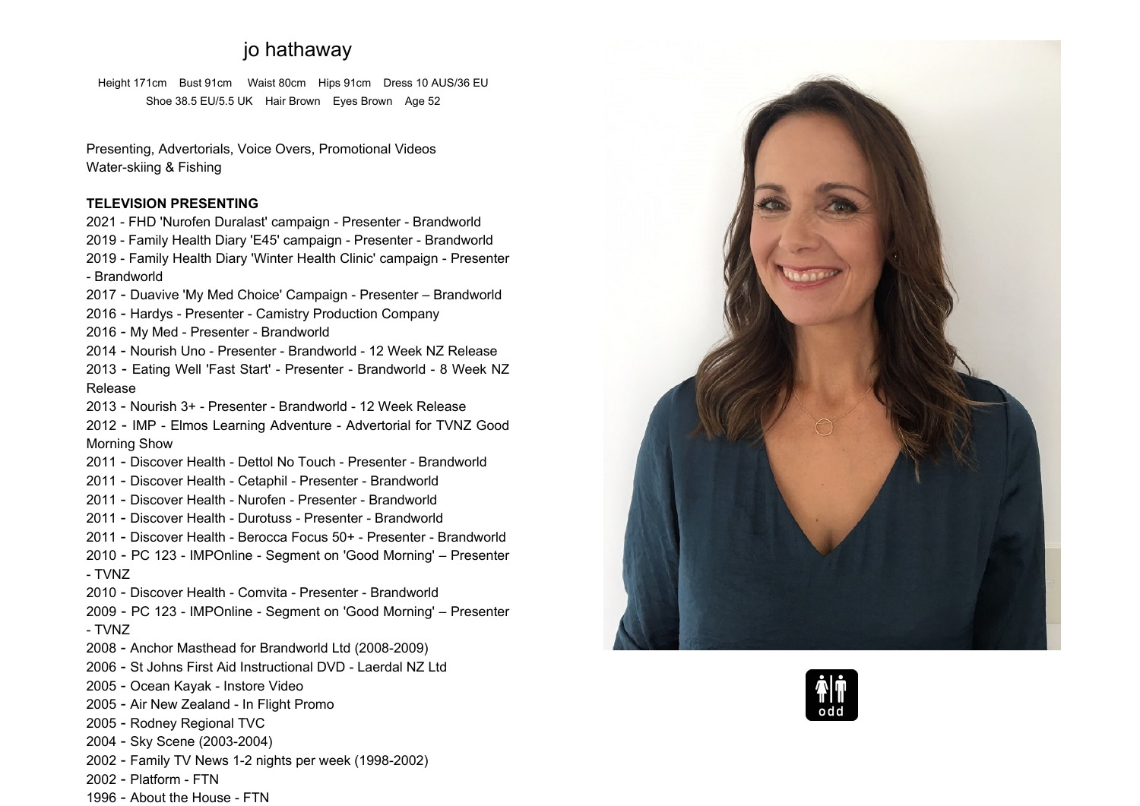# **jo hathaway**

**Height 171cm Bust 91cm Waist 80cm Hips 91cm Dress <sup>10</sup> AUS/36 EU Shoe 38.5 EU/5.5 UK Hair Brown Eyes Brown Age <sup>52</sup>**

**Presenting, Advertorials, Voice Overs, Promotional Videos Water-skiing & Fishing**

# **TELEVISION PRESENTING**

 **- FHD 'Nurofen Duralast' campaign - Presenter - Brandworld - Family Health Diary 'E45' campaign - Presenter - Brandworld - Family Health Diary 'Winter Health Clinic' campaign - Presenter - Brandworld**

**- Duavive 'My Med Choice' Campaign - Presenter – Brandworld**

**- Hardys - Presenter - Camistry Production Company**

**- My Med - Presenter - Brandworld**

**- Nourish Uno - Presenter - Brandworld - <sup>12</sup> Week NZ Release**

 **- Eating Well 'Fast Start' - Presenter - Brandworld - <sup>8</sup> Week NZRelease**

**- Nourish 3+ - Presenter - Brandworld - <sup>12</sup> Week Release**

 **- IMP - Elmos Learning Adventure - Advertorial for TVNZ Good Morning Show**

**- Discover Health - Dettol No Touch - Presenter - Brandworld**

**- Discover Health - Cetaphil - Presenter - Brandworld**

**- Discover Health - Nurofen - Presenter - Brandworld**

**- Discover Health - Durotuss - Presenter - Brandworld**

**- Discover Health - Berocca Focus 50+ - Presenter - Brandworld**

 **- PC <sup>123</sup> - IMPOnline - Segment on 'Good Morning' – Presenter - TVNZ**

**- Discover Health - Comvita - Presenter - Brandworld**

 **- PC <sup>123</sup> - IMPOnline - Segment on 'Good Morning' – Presenter - TVNZ**

**- Anchor Masthead for Brandworld Ltd (2008-2009)**

**- St Johns First Aid Instructional DVD - Laerdal NZ Ltd**

**- Ocean Kayak - Instore Video**

**- Air New Zealand - In Flight Promo**

**- Rodney Regional TVC**

**- Sky Scene (2003-2004)**

**- Family TV News 1-2 nights per week (1998-2002)**

- **- Platform - FTN**
- **- About the House - FTN**